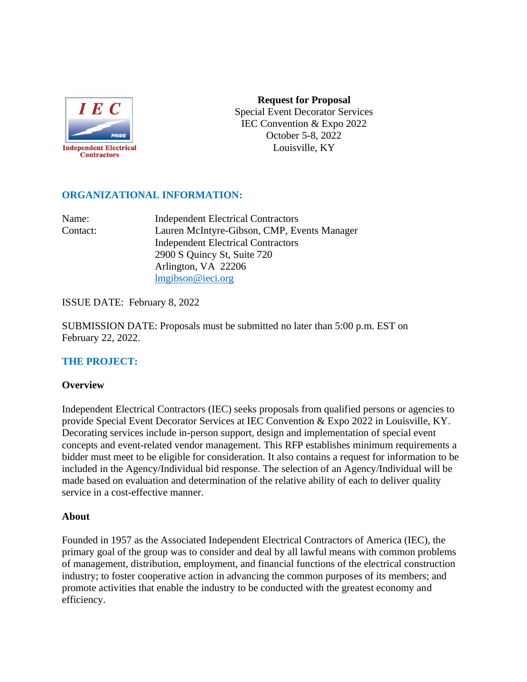

**Request for Proposal**  Special Event Decorator Services IEC Convention & Expo 2022 October 5-8, 2022 Louisville, KY

# **ORGANIZATIONAL INFORMATION:**

Name: Independent Electrical Contractors Contact: Lauren McIntyre-Gibson, CMP, Events Manager Independent Electrical Contractors 2900 S Quincy St, Suite 720 Arlington, VA 22206 [lmgibson@ieci.org](mailto:rcrosson@ieci.org)

ISSUE DATE: February 8, 2022

SUBMISSION DATE: Proposals must be submitted no later than 5:00 p.m. EST on February 22, 2022.

# **THE PROJECT:**

#### **Overview**

Independent Electrical Contractors (IEC) seeks proposals from qualified persons or agencies to provide Special Event Decorator Services at IEC Convention & Expo 2022 in Louisville, KY. Decorating services include in-person support, design and implementation of special event concepts and event-related vendor management. This RFP establishes minimum requirements a bidder must meet to be eligible for consideration. It also contains a request for information to be included in the Agency/Individual bid response. The selection of an Agency/Individual will be made based on evaluation and determination of the relative ability of each to deliver quality service in a cost-effective manner.

#### **About**

Founded in 1957 as the Associated Independent Electrical Contractors of America (IEC), the primary goal of the group was to consider and deal by all lawful means with common problems of management, distribution, employment, and financial functions of the electrical construction industry; to foster cooperative action in advancing the common purposes of its members; and promote activities that enable the industry to be conducted with the greatest economy and efficiency.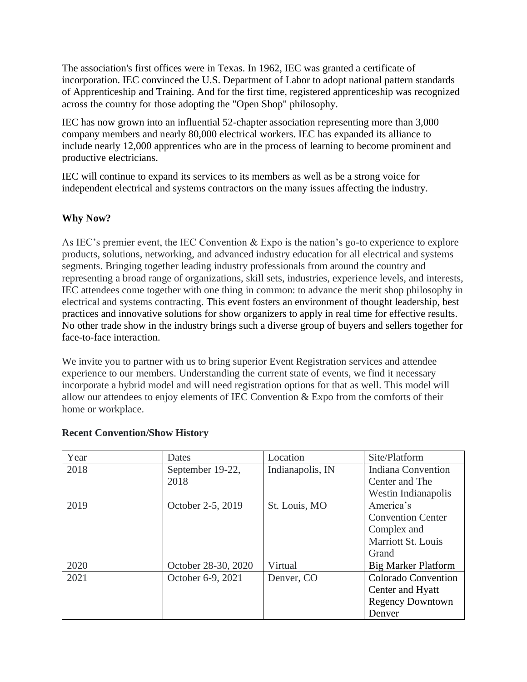The association's first offices were in Texas. In 1962, IEC was granted a certificate of incorporation. IEC convinced the U.S. Department of Labor to adopt national pattern standards of Apprenticeship and Training. And for the first time, registered apprenticeship was recognized across the country for those adopting the "Open Shop" philosophy.

IEC has now grown into an influential 52-chapter association representing more than 3,000 company members and nearly 80,000 electrical workers. IEC has expanded its alliance to include nearly 12,000 apprentices who are in the process of learning to become prominent and productive electricians.

IEC will continue to expand its services to its members as well as be a strong voice for independent electrical and systems contractors on the many issues affecting the industry.

# **Why Now?**

As IEC's premier event, the IEC Convention & Expo is the nation's go-to experience to explore products, solutions, networking, and advanced industry education for all electrical and systems segments. Bringing together leading industry professionals from around the country and representing a broad range of organizations, skill sets, industries, experience levels, and interests, IEC attendees come together with one thing in common: to advance the merit shop philosophy in electrical and systems contracting. This event fosters an environment of thought leadership, best practices and innovative solutions for show organizers to apply in real time for effective results. No other trade show in the industry brings such a diverse group of buyers and sellers together for face-to-face interaction.

We invite you to partner with us to bring superior Event Registration services and attendee experience to our members. Understanding the current state of events, we find it necessary incorporate a hybrid model and will need registration options for that as well. This model will allow our attendees to enjoy elements of IEC Convention & Expo from the comforts of their home or workplace.

| Year | Dates               | Location         | Site/Platform              |
|------|---------------------|------------------|----------------------------|
| 2018 | September 19-22,    | Indianapolis, IN | <b>Indiana Convention</b>  |
|      | 2018                |                  | Center and The             |
|      |                     |                  | Westin Indianapolis        |
| 2019 | October 2-5, 2019   | St. Louis, MO    | America's                  |
|      |                     |                  | <b>Convention Center</b>   |
|      |                     |                  | Complex and                |
|      |                     |                  | Marriott St. Louis         |
|      |                     |                  | Grand                      |
| 2020 | October 28-30, 2020 | Virtual          | <b>Big Marker Platform</b> |
| 2021 | October 6-9, 2021   | Denver, CO       | <b>Colorado Convention</b> |
|      |                     |                  | Center and Hyatt           |
|      |                     |                  | <b>Regency Downtown</b>    |
|      |                     |                  | Denver                     |

# **Recent Convention/Show History**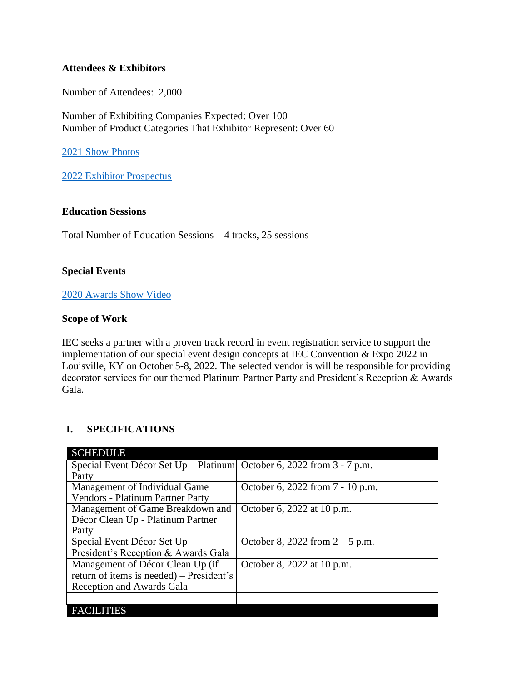#### **Attendees & Exhibitors**

Number of Attendees: 2,000

Number of Exhibiting Companies Expected: Over 100 Number of Product Categories That Exhibitor Represent: Over 60

[2021 Show Photos](https://www.flickr.com/photos/iecnational/sets/72157720019718494/)

[2022 Exhibitor Prospectus](file:///C:/Users/VictoriaKirkland(IG)/Downloads/2022%20IEC%20Convention%20+%20Expo%20Prospectus.pdf)

#### **Education Sessions**

Total Number of Education Sessions – 4 tracks, 25 sessions

#### **Special Events**

#### [2020 Awards Show Video](https://youtu.be/gYEA3bbYzRA)

#### **Scope of Work**

IEC seeks a partner with a proven track record in event registration service to support the implementation of our special event design concepts at IEC Convention & Expo 2022 in Louisville, KY on October 5-8, 2022. The selected vendor is will be responsible for providing decorator services for our themed Platinum Partner Party and President's Reception & Awards Gala.

# **I. SPECIFICATIONS**

| <b>SCHEDULE</b>                                                         |                                   |
|-------------------------------------------------------------------------|-----------------------------------|
| Special Event Décor Set Up – Platinum October 6, 2022 from $3 - 7$ p.m. |                                   |
| Party                                                                   |                                   |
| Management of Individual Game                                           | October 6, 2022 from 7 - 10 p.m.  |
| Vendors - Platinum Partner Party                                        |                                   |
| Management of Game Breakdown and                                        | October 6, 2022 at 10 p.m.        |
| Décor Clean Up - Platinum Partner                                       |                                   |
| Party                                                                   |                                   |
| Special Event Décor Set Up -                                            | October 8, 2022 from $2 - 5$ p.m. |
| President's Reception & Awards Gala                                     |                                   |
| Management of Décor Clean Up (if                                        | October 8, 2022 at 10 p.m.        |
| return of items is needed) – President's                                |                                   |
| <b>Reception and Awards Gala</b>                                        |                                   |
|                                                                         |                                   |
| TIES<br><b>FAC</b>                                                      |                                   |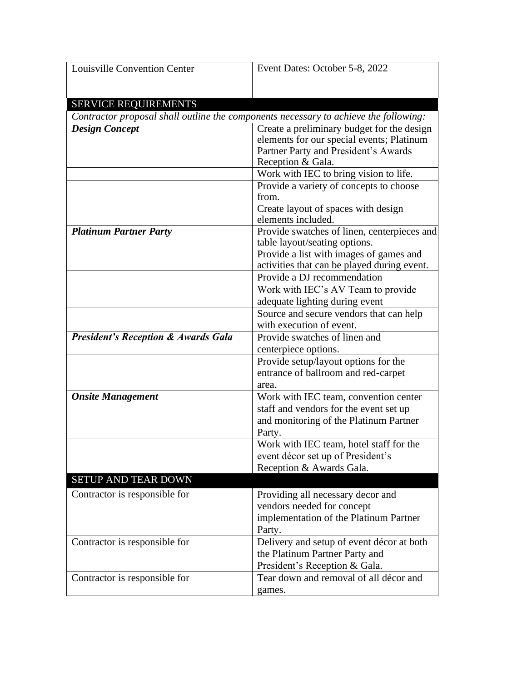| <b>Louisville Convention Center</b>            | Event Dates: October 5-8, 2022                                                       |  |
|------------------------------------------------|--------------------------------------------------------------------------------------|--|
|                                                |                                                                                      |  |
|                                                |                                                                                      |  |
| <b>SERVICE REQUIREMENTS</b>                    |                                                                                      |  |
|                                                | Contractor proposal shall outline the components necessary to achieve the following: |  |
| <b>Design Concept</b>                          | Create a preliminary budget for the design                                           |  |
|                                                | elements for our special events; Platinum                                            |  |
|                                                | Partner Party and President's Awards                                                 |  |
|                                                | Reception & Gala.                                                                    |  |
|                                                | Work with IEC to bring vision to life.                                               |  |
|                                                | Provide a variety of concepts to choose                                              |  |
|                                                | from.                                                                                |  |
|                                                | Create layout of spaces with design                                                  |  |
|                                                | elements included.                                                                   |  |
| <b>Platinum Partner Party</b>                  | Provide swatches of linen, centerpieces and                                          |  |
|                                                | table layout/seating options.                                                        |  |
|                                                | Provide a list with images of games and                                              |  |
|                                                | activities that can be played during event.                                          |  |
|                                                | Provide a DJ recommendation                                                          |  |
|                                                | Work with IEC's AV Team to provide                                                   |  |
|                                                | adequate lighting during event                                                       |  |
|                                                | Source and secure vendors that can help                                              |  |
|                                                | with execution of event.                                                             |  |
| <b>President's Reception &amp; Awards Gala</b> | Provide swatches of linen and                                                        |  |
|                                                | centerpiece options.                                                                 |  |
|                                                | Provide setup/layout options for the                                                 |  |
|                                                | entrance of ballroom and red-carpet                                                  |  |
|                                                | area.                                                                                |  |
| <b>Onsite Management</b>                       | Work with IEC team, convention center                                                |  |
|                                                | staff and vendors for the event set up                                               |  |
|                                                | and monitoring of the Platinum Partner                                               |  |
|                                                | Party.                                                                               |  |
|                                                | Work with IEC team, hotel staff for the                                              |  |
|                                                | event décor set up of President's                                                    |  |
|                                                | Reception & Awards Gala.                                                             |  |
| SETUP AND TEAR DOWN                            |                                                                                      |  |
| Contractor is responsible for                  | Providing all necessary decor and                                                    |  |
|                                                | vendors needed for concept                                                           |  |
|                                                | implementation of the Platinum Partner                                               |  |
|                                                | Party.                                                                               |  |
| Contractor is responsible for                  | Delivery and setup of event décor at both                                            |  |
|                                                | the Platinum Partner Party and                                                       |  |
|                                                | President's Reception & Gala.                                                        |  |
| Contractor is responsible for                  | Tear down and removal of all décor and                                               |  |
|                                                | games.                                                                               |  |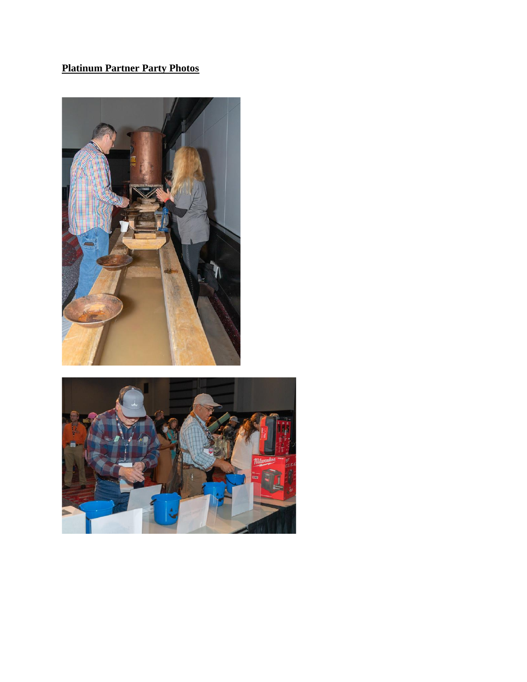# **Platinum Partner Party Photos**



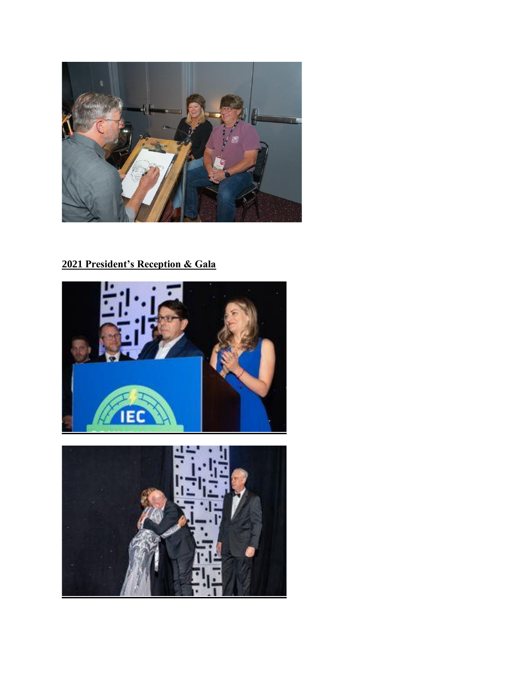

# **President's Reception & Gala**



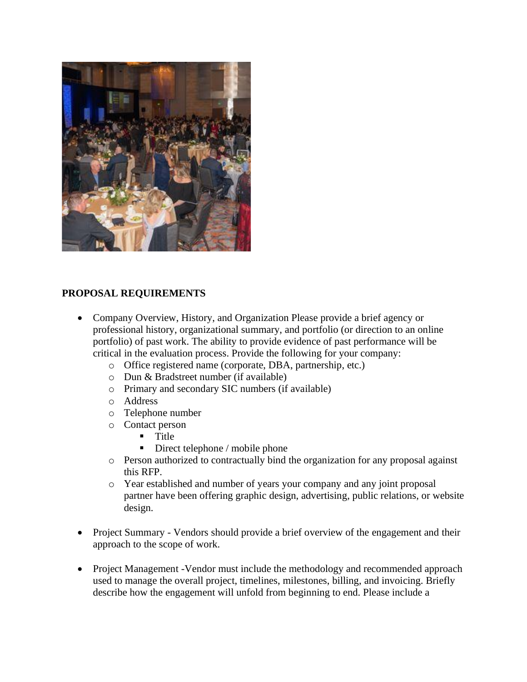

# **PROPOSAL REQUIREMENTS**

- Company Overview, History, and Organization Please provide a brief agency or professional history, organizational summary, and portfolio (or direction to an online portfolio) of past work. The ability to provide evidence of past performance will be critical in the evaluation process. Provide the following for your company:
	- o Office registered name (corporate, DBA, partnership, etc.)
	- o Dun & Bradstreet number (if available)
	- o Primary and secondary SIC numbers (if available)
	- o Address
	- o Telephone number
	- o Contact person
		- Title
		- $\blacksquare$  Direct telephone / mobile phone
	- o Person authorized to contractually bind the organization for any proposal against this RFP.
	- o Year established and number of years your company and any joint proposal partner have been offering graphic design, advertising, public relations, or website design.
- Project Summary Vendors should provide a brief overview of the engagement and their approach to the scope of work.
- Project Management -Vendor must include the methodology and recommended approach used to manage the overall project, timelines, milestones, billing, and invoicing. Briefly describe how the engagement will unfold from beginning to end. Please include a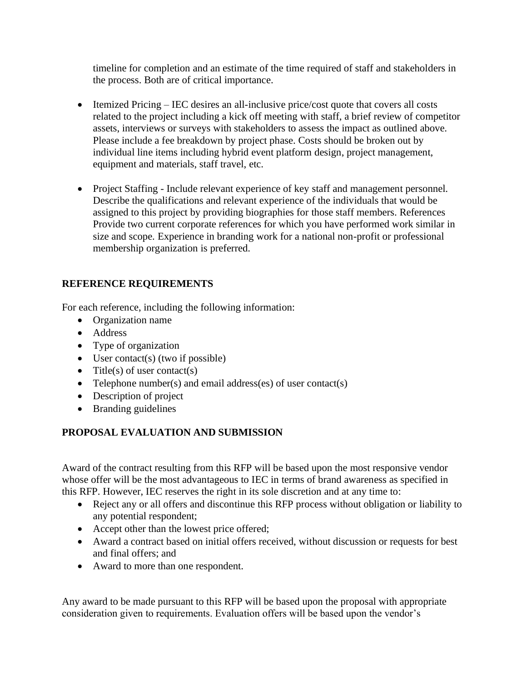timeline for completion and an estimate of the time required of staff and stakeholders in the process. Both are of critical importance.

- Itemized Pricing IEC desires an all-inclusive price/cost quote that covers all costs related to the project including a kick off meeting with staff, a brief review of competitor assets, interviews or surveys with stakeholders to assess the impact as outlined above. Please include a fee breakdown by project phase. Costs should be broken out by individual line items including hybrid event platform design, project management, equipment and materials, staff travel, etc.
- Project Staffing Include relevant experience of key staff and management personnel. Describe the qualifications and relevant experience of the individuals that would be assigned to this project by providing biographies for those staff members. References Provide two current corporate references for which you have performed work similar in size and scope. Experience in branding work for a national non-profit or professional membership organization is preferred.

# **REFERENCE REQUIREMENTS**

For each reference, including the following information:

- Organization name
- Address
- Type of organization
- User contact(s) (two if possible)
- Title(s) of user contact(s)
- Telephone number(s) and email address(es) of user contact(s)
- Description of project
- Branding guidelines

# **PROPOSAL EVALUATION AND SUBMISSION**

Award of the contract resulting from this RFP will be based upon the most responsive vendor whose offer will be the most advantageous to IEC in terms of brand awareness as specified in this RFP. However, IEC reserves the right in its sole discretion and at any time to:

- Reject any or all offers and discontinue this RFP process without obligation or liability to any potential respondent;
- Accept other than the lowest price offered;
- Award a contract based on initial offers received, without discussion or requests for best and final offers; and
- Award to more than one respondent.

Any award to be made pursuant to this RFP will be based upon the proposal with appropriate consideration given to requirements. Evaluation offers will be based upon the vendor's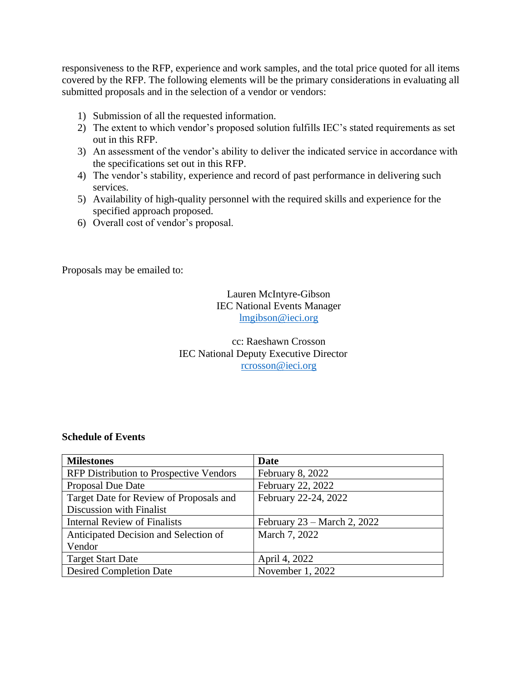responsiveness to the RFP, experience and work samples, and the total price quoted for all items covered by the RFP. The following elements will be the primary considerations in evaluating all submitted proposals and in the selection of a vendor or vendors:

- 1) Submission of all the requested information.
- 2) The extent to which vendor's proposed solution fulfills IEC's stated requirements as set out in this RFP.
- 3) An assessment of the vendor's ability to deliver the indicated service in accordance with the specifications set out in this RFP.
- 4) The vendor's stability, experience and record of past performance in delivering such services.
- 5) Availability of high-quality personnel with the required skills and experience for the specified approach proposed.
- 6) Overall cost of vendor's proposal.

Proposals may be emailed to:

#### Lauren McIntyre-Gibson IEC National Events Manager [lmgibson@ieci.org](mailto:lmgibson@ieci.org)

# cc: Raeshawn Crosson IEC National Deputy Executive Director [rcrosson@ieci.org](mailto:rcrosson@ieci.org)

#### **Schedule of Events**

| <b>Milestones</b>                              | Date                          |
|------------------------------------------------|-------------------------------|
| <b>RFP Distribution to Prospective Vendors</b> | February 8, 2022              |
| <b>Proposal Due Date</b>                       | February 22, 2022             |
| Target Date for Review of Proposals and        | February 22-24, 2022          |
| Discussion with Finalist                       |                               |
| <b>Internal Review of Finalists</b>            | February $23$ – March 2, 2022 |
| Anticipated Decision and Selection of          | March 7, 2022                 |
| Vendor                                         |                               |
| <b>Target Start Date</b>                       | April 4, 2022                 |
| <b>Desired Completion Date</b>                 | November 1, 2022              |